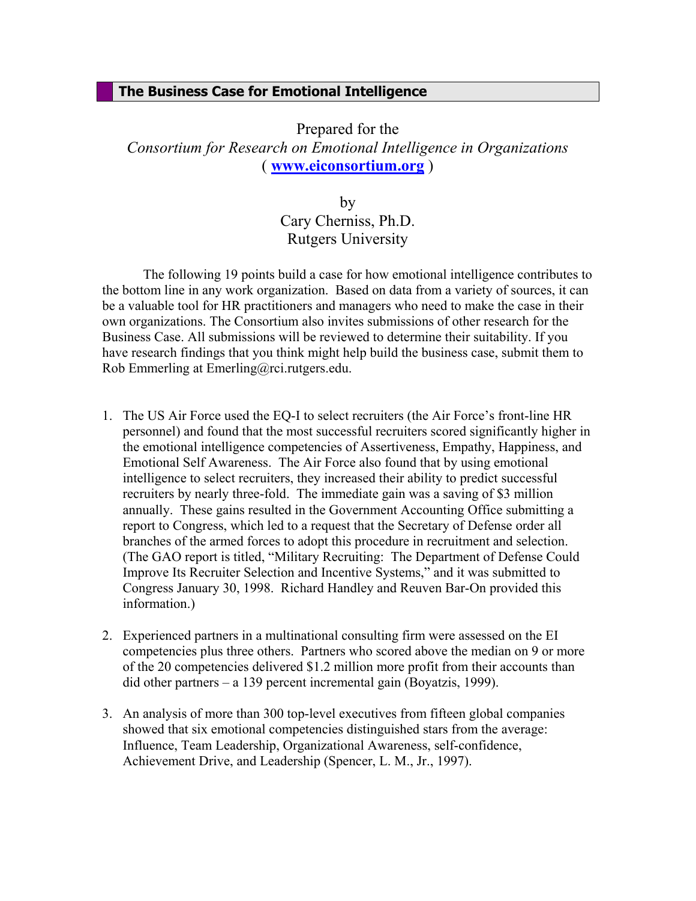## **The Business Case for Emotional Intelligence**

Prepared for the *Consortium for Research on Emotional Intelligence in Organizations*  ( **www.eiconsortium.org** )

> by Cary Cherniss, Ph.D. Rutgers University

The following 19 points build a case for how emotional intelligence contributes to the bottom line in any work organization. Based on data from a variety of sources, it can be a valuable tool for HR practitioners and managers who need to make the case in their own organizations. The Consortium also invites submissions of other research for the Business Case. All submissions will be reviewed to determine their suitability. If you have research findings that you think might help build the business case, submit them to Rob Emmerling at Emerling@rci.rutgers.edu.

- 1. The US Air Force used the EQ-I to select recruiters (the Air Force's front-line HR personnel) and found that the most successful recruiters scored significantly higher in the emotional intelligence competencies of Assertiveness, Empathy, Happiness, and Emotional Self Awareness. The Air Force also found that by using emotional intelligence to select recruiters, they increased their ability to predict successful recruiters by nearly three-fold. The immediate gain was a saving of \$3 million annually. These gains resulted in the Government Accounting Office submitting a report to Congress, which led to a request that the Secretary of Defense order all branches of the armed forces to adopt this procedure in recruitment and selection. (The GAO report is titled, "Military Recruiting: The Department of Defense Could Improve Its Recruiter Selection and Incentive Systems," and it was submitted to Congress January 30, 1998. Richard Handley and Reuven Bar-On provided this information.)
- 2. Experienced partners in a multinational consulting firm were assessed on the EI competencies plus three others. Partners who scored above the median on 9 or more of the 20 competencies delivered \$1.2 million more profit from their accounts than did other partners – a 139 percent incremental gain (Boyatzis, 1999).
- 3. An analysis of more than 300 top-level executives from fifteen global companies showed that six emotional competencies distinguished stars from the average: Influence, Team Leadership, Organizational Awareness, self-confidence, Achievement Drive, and Leadership (Spencer, L. M., Jr., 1997).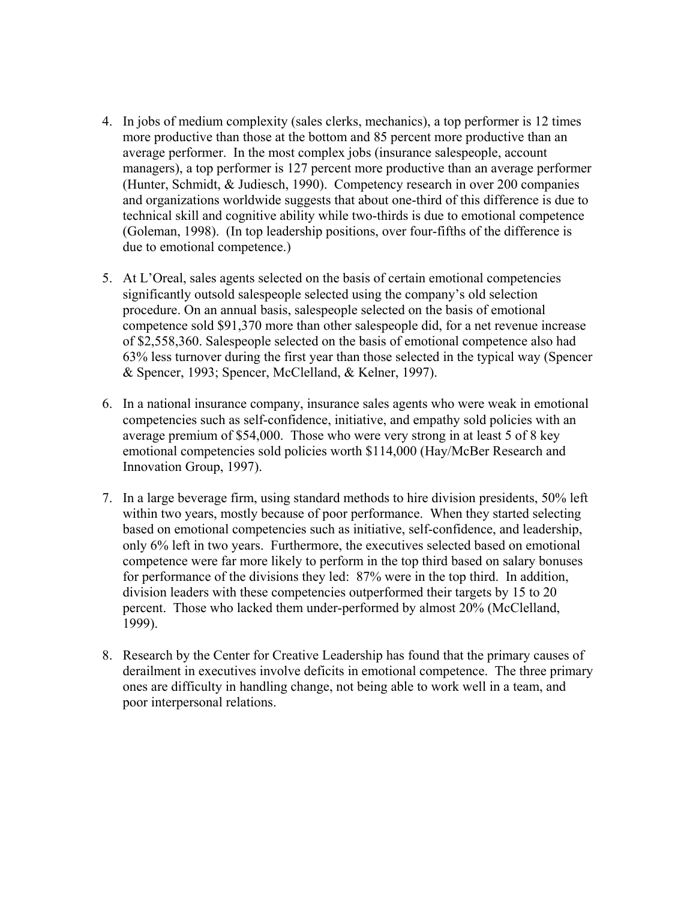- 4. In jobs of medium complexity (sales clerks, mechanics), a top performer is 12 times more productive than those at the bottom and 85 percent more productive than an average performer. In the most complex jobs (insurance salespeople, account managers), a top performer is 127 percent more productive than an average performer (Hunter, Schmidt, & Judiesch, 1990). Competency research in over 200 companies and organizations worldwide suggests that about one-third of this difference is due to technical skill and cognitive ability while two-thirds is due to emotional competence (Goleman, 1998). (In top leadership positions, over four-fifths of the difference is due to emotional competence.)
- 5. At L'Oreal, sales agents selected on the basis of certain emotional competencies significantly outsold salespeople selected using the company's old selection procedure. On an annual basis, salespeople selected on the basis of emotional competence sold \$91,370 more than other salespeople did, for a net revenue increase of \$2,558,360. Salespeople selected on the basis of emotional competence also had 63% less turnover during the first year than those selected in the typical way (Spencer & Spencer, 1993; Spencer, McClelland, & Kelner, 1997).
- 6. In a national insurance company, insurance sales agents who were weak in emotional competencies such as self-confidence, initiative, and empathy sold policies with an average premium of \$54,000. Those who were very strong in at least 5 of 8 key emotional competencies sold policies worth \$114,000 (Hay/McBer Research and Innovation Group, 1997).
- 7. In a large beverage firm, using standard methods to hire division presidents, 50% left within two years, mostly because of poor performance. When they started selecting based on emotional competencies such as initiative, self-confidence, and leadership, only 6% left in two years. Furthermore, the executives selected based on emotional competence were far more likely to perform in the top third based on salary bonuses for performance of the divisions they led: 87% were in the top third. In addition, division leaders with these competencies outperformed their targets by 15 to 20 percent. Those who lacked them under-performed by almost 20% (McClelland, 1999).
- 8. Research by the Center for Creative Leadership has found that the primary causes of derailment in executives involve deficits in emotional competence. The three primary ones are difficulty in handling change, not being able to work well in a team, and poor interpersonal relations.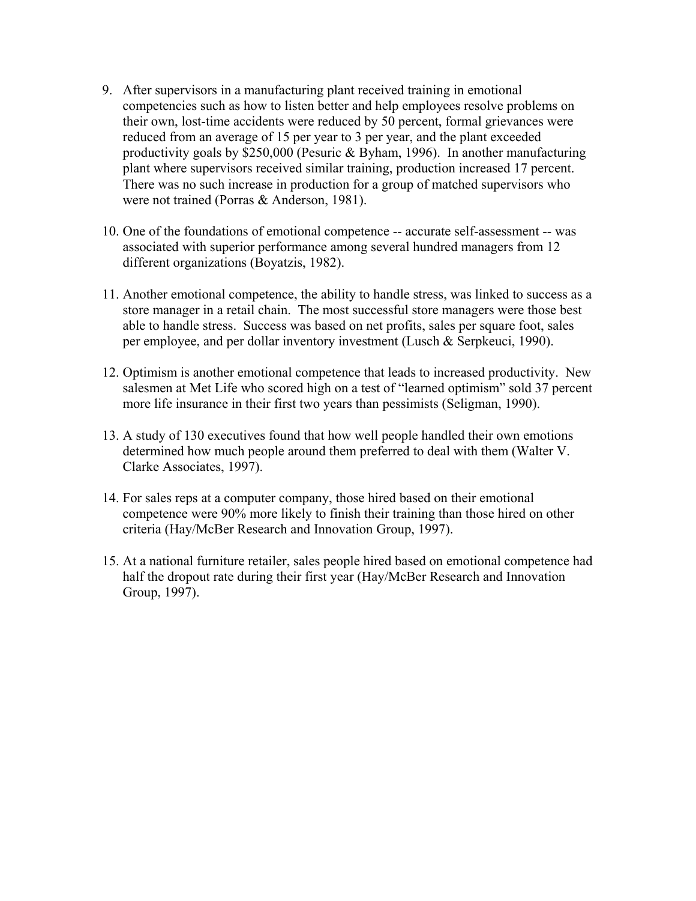- 9. After supervisors in a manufacturing plant received training in emotional competencies such as how to listen better and help employees resolve problems on their own, lost-time accidents were reduced by 50 percent, formal grievances were reduced from an average of 15 per year to 3 per year, and the plant exceeded productivity goals by \$250,000 (Pesuric & Byham, 1996). In another manufacturing plant where supervisors received similar training, production increased 17 percent. There was no such increase in production for a group of matched supervisors who were not trained (Porras & Anderson, 1981).
- 10. One of the foundations of emotional competence -- accurate self-assessment -- was associated with superior performance among several hundred managers from 12 different organizations (Boyatzis, 1982).
- 11. Another emotional competence, the ability to handle stress, was linked to success as a store manager in a retail chain. The most successful store managers were those best able to handle stress. Success was based on net profits, sales per square foot, sales per employee, and per dollar inventory investment (Lusch & Serpkeuci, 1990).
- 12. Optimism is another emotional competence that leads to increased productivity. New salesmen at Met Life who scored high on a test of "learned optimism" sold 37 percent more life insurance in their first two years than pessimists (Seligman, 1990).
- 13. A study of 130 executives found that how well people handled their own emotions determined how much people around them preferred to deal with them (Walter V. Clarke Associates, 1997).
- 14. For sales reps at a computer company, those hired based on their emotional competence were 90% more likely to finish their training than those hired on other criteria (Hay/McBer Research and Innovation Group, 1997).
- 15. At a national furniture retailer, sales people hired based on emotional competence had half the dropout rate during their first year (Hay/McBer Research and Innovation Group, 1997).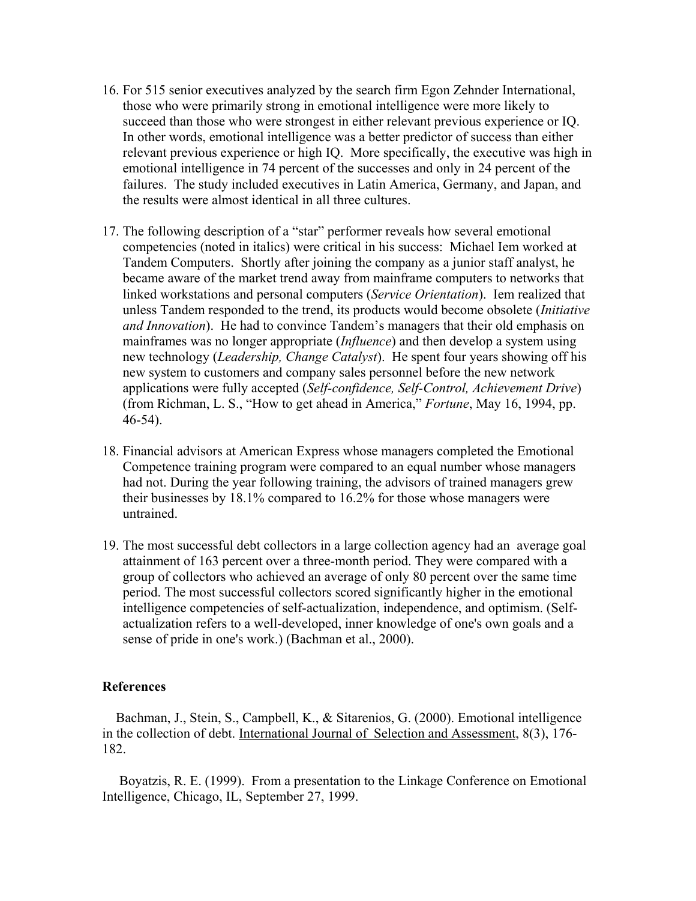- 16. For 515 senior executives analyzed by the search firm Egon Zehnder International, those who were primarily strong in emotional intelligence were more likely to succeed than those who were strongest in either relevant previous experience or IQ. In other words, emotional intelligence was a better predictor of success than either relevant previous experience or high IQ. More specifically, the executive was high in emotional intelligence in 74 percent of the successes and only in 24 percent of the failures. The study included executives in Latin America, Germany, and Japan, and the results were almost identical in all three cultures.
- 17. The following description of a "star" performer reveals how several emotional competencies (noted in italics) were critical in his success: Michael Iem worked at Tandem Computers. Shortly after joining the company as a junior staff analyst, he became aware of the market trend away from mainframe computers to networks that linked workstations and personal computers (*Service Orientation*). Iem realized that unless Tandem responded to the trend, its products would become obsolete (*Initiative and Innovation*). He had to convince Tandem's managers that their old emphasis on mainframes was no longer appropriate (*Influence*) and then develop a system using new technology (*Leadership, Change Catalyst*). He spent four years showing off his new system to customers and company sales personnel before the new network applications were fully accepted (*Self-confidence, Self-Control, Achievement Drive*) (from Richman, L. S., "How to get ahead in America," *Fortune*, May 16, 1994, pp. 46-54).
- 18. Financial advisors at American Express whose managers completed the Emotional Competence training program were compared to an equal number whose managers had not. During the year following training, the advisors of trained managers grew their businesses by 18.1% compared to 16.2% for those whose managers were untrained.
- 19. The most successful debt collectors in a large collection agency had an average goal attainment of 163 percent over a three-month period. They were compared with a group of collectors who achieved an average of only 80 percent over the same time period. The most successful collectors scored significantly higher in the emotional intelligence competencies of self-actualization, independence, and optimism. (Selfactualization refers to a well-developed, inner knowledge of one's own goals and a sense of pride in one's work.) (Bachman et al., 2000).

## **References**

 Bachman, J., Stein, S., Campbell, K., & Sitarenios, G. (2000). Emotional intelligence in the collection of debt. International Journal of Selection and Assessment, 8(3), 176- 182.

 Boyatzis, R. E. (1999). From a presentation to the Linkage Conference on Emotional Intelligence, Chicago, IL, September 27, 1999.